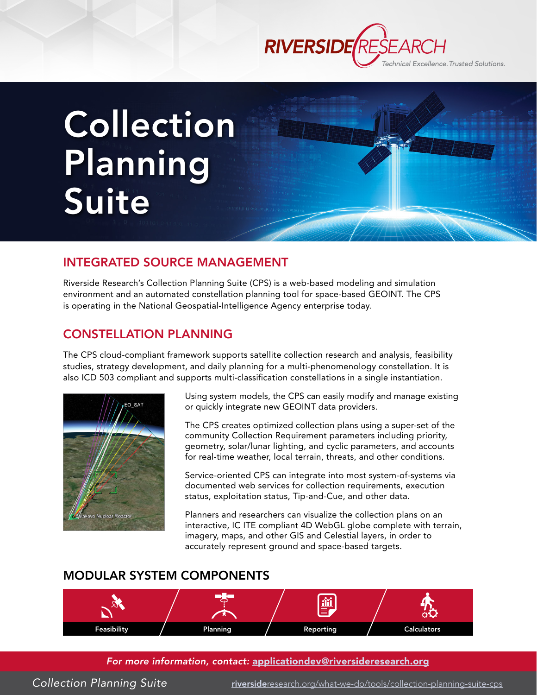

# Collection Planning Suite

#### INTEGRATED SOURCE MANAGEMENT

Riverside Research's Collection Planning Suite (CPS) is a web-based modeling and simulation environment and an automated constellation planning tool for space-based GEOINT. The CPS is operating in the National Geospatial-Intelligence Agency enterprise today.

#### CONSTELLATION PLANNING

The CPS cloud-compliant framework supports satellite collection research and analysis, feasibility studies, strategy development, and daily planning for a multi-phenomenology constellation. It is also ICD 503 compliant and supports multi-classification constellations in a single instantiation.



Using system models, the CPS can easily modify and manage existing or quickly integrate new GEOINT data providers.

The CPS creates optimized collection plans using a super-set of the community Collection Requirement parameters including priority, geometry, solar/lunar lighting, and cyclic parameters, and accounts for real-time weather, local terrain, threats, and other conditions.

Service-oriented CPS can integrate into most system-of-systems via documented web services for collection requirements, execution status, exploitation status, Tip-and-Cue, and other data.

Planners and researchers can visualize the collection plans on an interactive, IC ITE compliant 4D WebGL globe complete with terrain, imagery, maps, and other GIS and Celestial layers, in order to accurately represent ground and space-based targets.

### MODULAR SYSTEM COMPONENTS



#### *For more information, contact:* [applicationdev@riversideresearch.org](mailto:applicationdev%40riversideresearch.org?subject=Request for Information: Collection%20Planning%20Suite)

*Collection Planning Suite* riverside[research.org/what-we-do/tools/collection-planning-suite-cps](https://www.riversideresearch.org/what-we-do/tools/collection-planning-suite-cps)